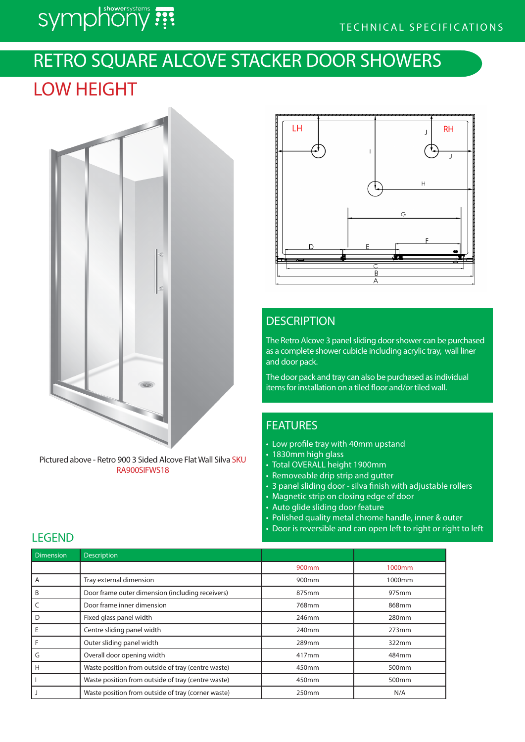# symphony ???

## RETRO SQUARE ALCOVE STACKER DOOR SHOWERS

## LOW HEIGHT



Pictured above - Retro 900 3 Sided Alcove Flat Wall Silva SKU RA900SIFWS18



## **DESCRIPTION**

The Retro Alcove 3 panel sliding door shower can be purchased as a complete shower cubicle including acrylic tray, wall liner and door pack.

The door pack and tray can also be purchased as individual items for installation on a tiled floor and/or tiled wall.

## FEATURES

- Low profile tray with 40mm upstand
- 1830mm high glass
- Total OVERALL height 1900mm
- Removeable drip strip and gutter
- 3 panel sliding door silva finish with adjustable rollers
- Magnetic strip on closing edge of door
- Auto glide sliding door feature
- Polished quality metal chrome handle, inner & outer
- Door is reversible and can open left to right or right to left

| <b>Dimension</b> | <b>Description</b>                                 |                   |                   |
|------------------|----------------------------------------------------|-------------------|-------------------|
|                  |                                                    | 900 <sub>mm</sub> | 1000mm            |
| A                | Tray external dimension                            | 900mm             | 1000mm            |
| B                | Door frame outer dimension (including receivers)   | 875mm             | 975mm             |
|                  | Door frame inner dimension                         | 768mm             | 868mm             |
| D                | Fixed glass panel width                            | 246mm             | 280mm             |
| E                | Centre sliding panel width                         | 240mm             | 273mm             |
| F                | Outer sliding panel width                          | 289mm             | 322mm             |
| G                | Overall door opening width                         | 417mm             | 484mm             |
| H                | Waste position from outside of tray (centre waste) | 450mm             | 500 <sub>mm</sub> |
|                  | Waste position from outside of tray (centre waste) | 450mm             | 500mm             |
|                  | Waste position from outside of tray (corner waste) | 250mm             | N/A               |

### **LEGEND**